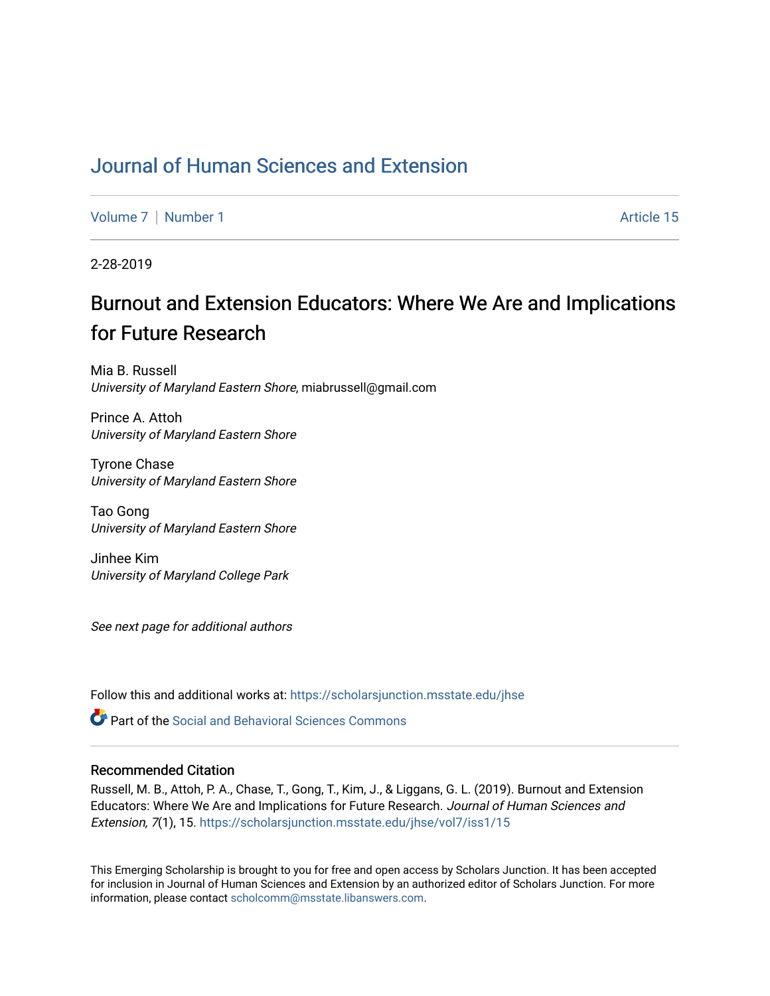# [Journal of Human Sciences and Extension](https://scholarsjunction.msstate.edu/jhse)

[Volume 7](https://scholarsjunction.msstate.edu/jhse/vol7) | [Number 1](https://scholarsjunction.msstate.edu/jhse/vol7/iss1) Article 15

2-28-2019

# Burnout and Extension Educators: Where We Are and Implications for Future Research

Mia B. Russell University of Maryland Eastern Shore, miabrussell@gmail.com

Prince A. Attoh University of Maryland Eastern Shore

Tyrone Chase University of Maryland Eastern Shore

Tao Gong University of Maryland Eastern Shore

Jinhee Kim University of Maryland College Park

See next page for additional authors

Follow this and additional works at: [https://scholarsjunction.msstate.edu/jhse](https://scholarsjunction.msstate.edu/jhse?utm_source=scholarsjunction.msstate.edu%2Fjhse%2Fvol7%2Fiss1%2F15&utm_medium=PDF&utm_campaign=PDFCoverPages)

**C** Part of the Social and Behavioral Sciences Commons

#### Recommended Citation

Russell, M. B., Attoh, P. A., Chase, T., Gong, T., Kim, J., & Liggans, G. L. (2019). Burnout and Extension Educators: Where We Are and Implications for Future Research. Journal of Human Sciences and Extension, 7(1), 15. [https://scholarsjunction.msstate.edu/jhse/vol7/iss1/15](https://scholarsjunction.msstate.edu/jhse/vol7/iss1/15?utm_source=scholarsjunction.msstate.edu%2Fjhse%2Fvol7%2Fiss1%2F15&utm_medium=PDF&utm_campaign=PDFCoverPages) 

This Emerging Scholarship is brought to you for free and open access by Scholars Junction. It has been accepted for inclusion in Journal of Human Sciences and Extension by an authorized editor of Scholars Junction. For more information, please contact [scholcomm@msstate.libanswers.com](mailto:scholcomm@msstate.libanswers.com).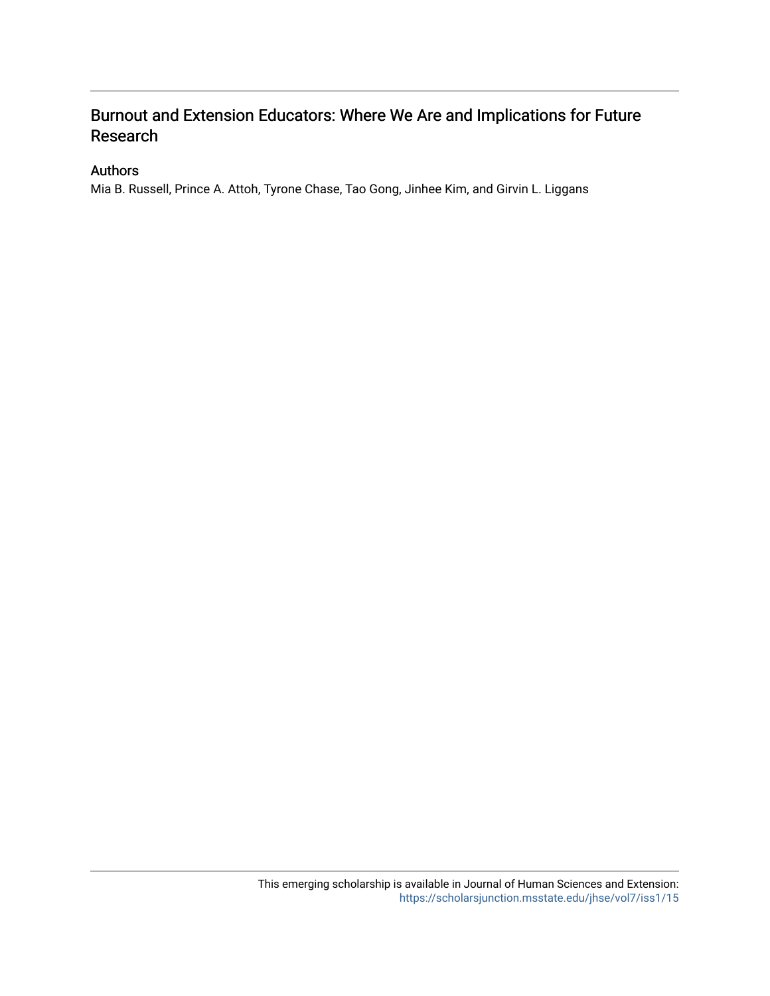## Burnout and Extension Educators: Where We Are and Implications for Future Research

### Authors

Mia B. Russell, Prince A. Attoh, Tyrone Chase, Tao Gong, Jinhee Kim, and Girvin L. Liggans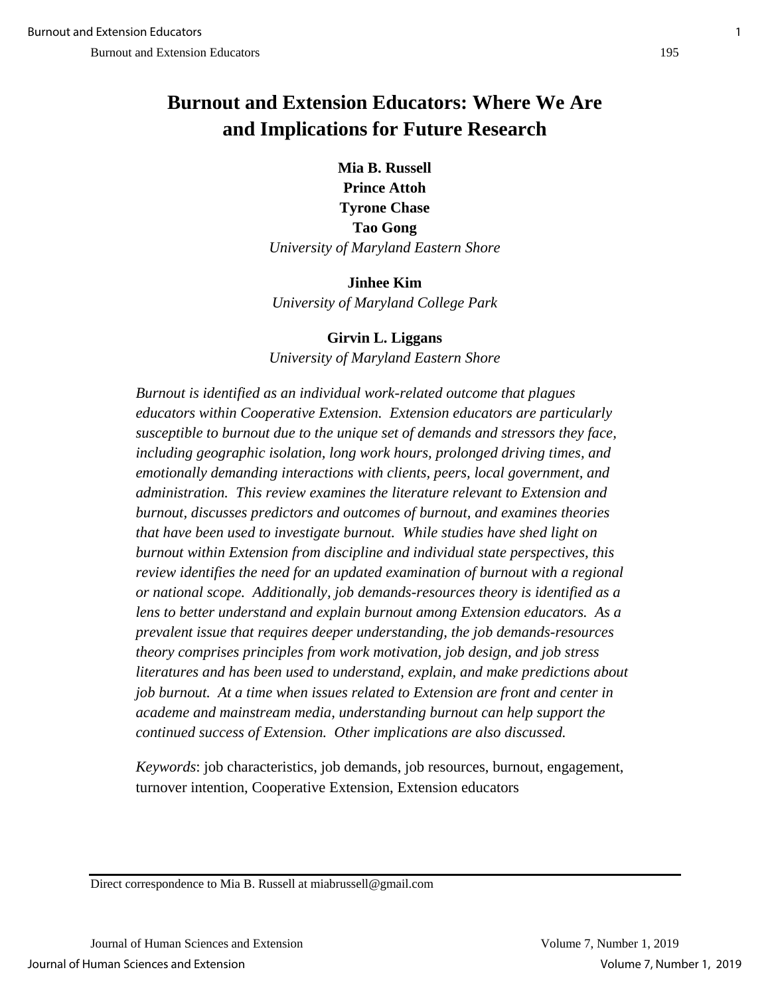# **Burnout and Extension Educators: Where We Are and Implications for Future Research**

**Mia B. Russell Prince Attoh Tyrone Chase Tao Gong** *University of Maryland Eastern Shore*

**Jinhee Kim** *University of Maryland College Park*

**Girvin L. Liggans** *University of Maryland Eastern Shore*

*Burnout is identified as an individual work-related outcome that plagues educators within Cooperative Extension. Extension educators are particularly susceptible to burnout due to the unique set of demands and stressors they face, including geographic isolation, long work hours, prolonged driving times, and emotionally demanding interactions with clients, peers, local government, and administration. This review examines the literature relevant to Extension and burnout, discusses predictors and outcomes of burnout, and examines theories that have been used to investigate burnout. While studies have shed light on burnout within Extension from discipline and individual state perspectives, this review identifies the need for an updated examination of burnout with a regional or national scope. Additionally, job demands-resources theory is identified as a lens to better understand and explain burnout among Extension educators. As a prevalent issue that requires deeper understanding, the job demands-resources theory comprises principles from work motivation, job design, and job stress literatures and has been used to understand, explain, and make predictions about job burnout. At a time when issues related to Extension are front and center in academe and mainstream media, understanding burnout can help support the continued success of Extension. Other implications are also discussed.* 

*Keywords*: job characteristics, job demands, job resources, burnout, engagement, turnover intention, Cooperative Extension, Extension educators

Direct correspondence to Mia B. Russell at miabrussell@gmail.com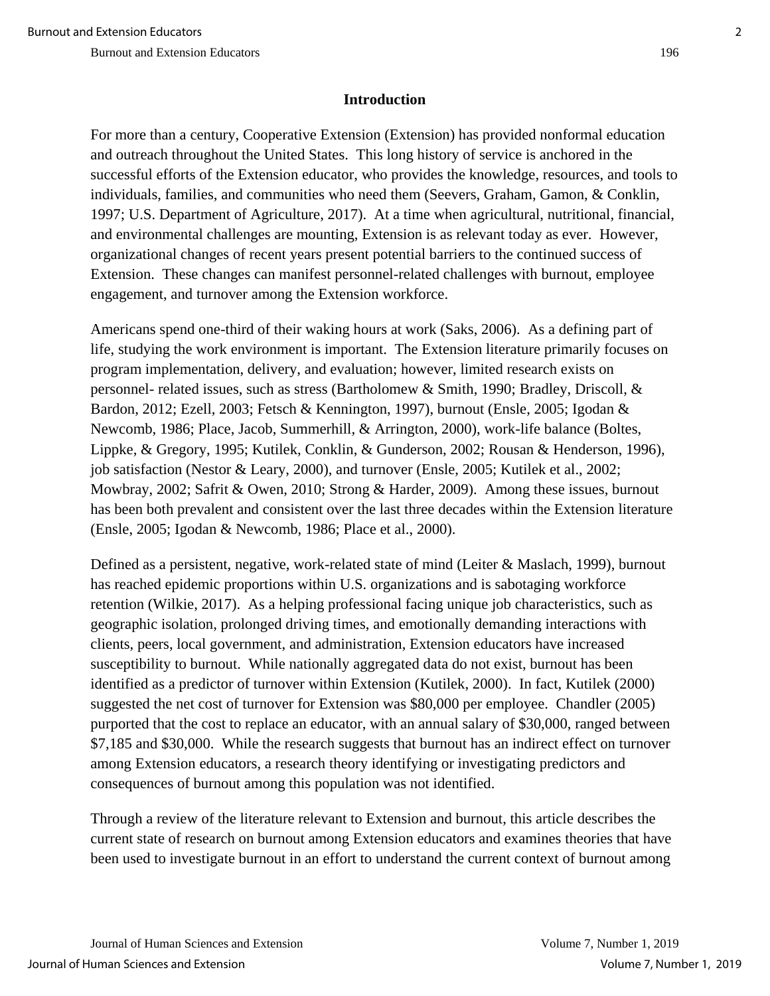### **Introduction**

For more than a century, Cooperative Extension (Extension) has provided nonformal education and outreach throughout the United States. This long history of service is anchored in the successful efforts of the Extension educator, who provides the knowledge, resources, and tools to individuals, families, and communities who need them (Seevers, Graham, Gamon, & Conklin, 1997; U.S. Department of Agriculture, 2017). At a time when agricultural, nutritional, financial, and environmental challenges are mounting, Extension is as relevant today as ever. However, organizational changes of recent years present potential barriers to the continued success of Extension. These changes can manifest personnel-related challenges with burnout, employee engagement, and turnover among the Extension workforce.

Americans spend one-third of their waking hours at work (Saks, 2006). As a defining part of life, studying the work environment is important. The Extension literature primarily focuses on program implementation, delivery, and evaluation; however, limited research exists on personnel- related issues, such as stress (Bartholomew & Smith, 1990; Bradley, Driscoll, & Bardon, 2012; Ezell, 2003; Fetsch & Kennington, 1997), burnout (Ensle, 2005; Igodan & Newcomb, 1986; Place, Jacob, Summerhill, & Arrington, 2000), work-life balance (Boltes, Lippke, & Gregory, 1995; Kutilek, Conklin, & Gunderson, 2002; Rousan & Henderson, 1996), job satisfaction (Nestor & Leary, 2000), and turnover (Ensle, 2005; Kutilek et al., 2002; Mowbray, 2002; Safrit & Owen, 2010; Strong & Harder, 2009). Among these issues, burnout has been both prevalent and consistent over the last three decades within the Extension literature (Ensle, 2005; Igodan & Newcomb, 1986; Place et al., 2000).

Defined as a persistent, negative, work-related state of mind (Leiter & Maslach, 1999), burnout has reached epidemic proportions within U.S. organizations and is sabotaging workforce retention (Wilkie, 2017). As a helping professional facing unique job characteristics, such as geographic isolation, prolonged driving times, and emotionally demanding interactions with clients, peers, local government, and administration, Extension educators have increased susceptibility to burnout. While nationally aggregated data do not exist, burnout has been identified as a predictor of turnover within Extension (Kutilek, 2000). In fact, Kutilek (2000) suggested the net cost of turnover for Extension was \$80,000 per employee. Chandler (2005) purported that the cost to replace an educator, with an annual salary of \$30,000, ranged between \$7,185 and \$30,000. While the research suggests that burnout has an indirect effect on turnover among Extension educators, a research theory identifying or investigating predictors and consequences of burnout among this population was not identified.

Through a review of the literature relevant to Extension and burnout, this article describes the current state of research on burnout among Extension educators and examines theories that have been used to investigate burnout in an effort to understand the current context of burnout among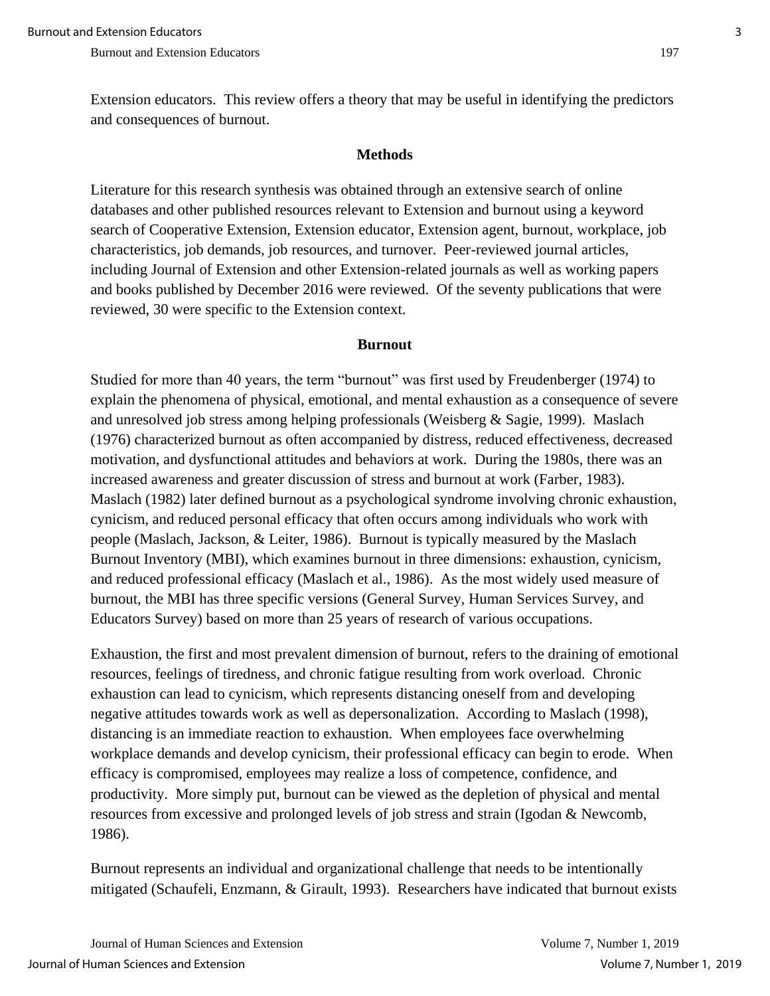Extension educators. This review offers a theory that may be useful in identifying the predictors and consequences of burnout.

#### **Methods**

Literature for this research synthesis was obtained through an extensive search of online databases and other published resources relevant to Extension and burnout using a keyword search of Cooperative Extension, Extension educator, Extension agent, burnout, workplace, job characteristics, job demands, job resources, and turnover. Peer-reviewed journal articles, including Journal of Extension and other Extension-related journals as well as working papers and books published by December 2016 were reviewed. Of the seventy publications that were reviewed, 30 were specific to the Extension context.

#### **Burnout**

Studied for more than 40 years, the term "burnout" was first used by Freudenberger (1974) to explain the phenomena of physical, emotional, and mental exhaustion as a consequence of severe and unresolved job stress among helping professionals (Weisberg & Sagie, 1999). Maslach (1976) characterized burnout as often accompanied by distress, reduced effectiveness, decreased motivation, and dysfunctional attitudes and behaviors at work. During the 1980s, there was an increased awareness and greater discussion of stress and burnout at work (Farber, 1983). Maslach (1982) later defined burnout as a psychological syndrome involving chronic exhaustion, cynicism, and reduced personal efficacy that often occurs among individuals who work with people (Maslach, Jackson, & Leiter, 1986). Burnout is typically measured by the Maslach Burnout Inventory (MBI), which examines burnout in three dimensions: exhaustion, cynicism, and reduced professional efficacy (Maslach et al., 1986). As the most widely used measure of burnout, the MBI has three specific versions (General Survey, Human Services Survey, and Educators Survey) based on more than 25 years of research of various occupations.

Exhaustion, the first and most prevalent dimension of burnout, refers to the draining of emotional resources, feelings of tiredness, and chronic fatigue resulting from work overload. Chronic exhaustion can lead to cynicism, which represents distancing oneself from and developing negative attitudes towards work as well as depersonalization. According to Maslach (1998), distancing is an immediate reaction to exhaustion. When employees face overwhelming workplace demands and develop cynicism, their professional efficacy can begin to erode. When efficacy is compromised, employees may realize a loss of competence, confidence, and productivity. More simply put, burnout can be viewed as the depletion of physical and mental resources from excessive and prolonged levels of job stress and strain (Igodan & Newcomb, 1986).

Burnout represents an individual and organizational challenge that needs to be intentionally mitigated (Schaufeli, Enzmann, & Girault, 1993). Researchers have indicated that burnout exists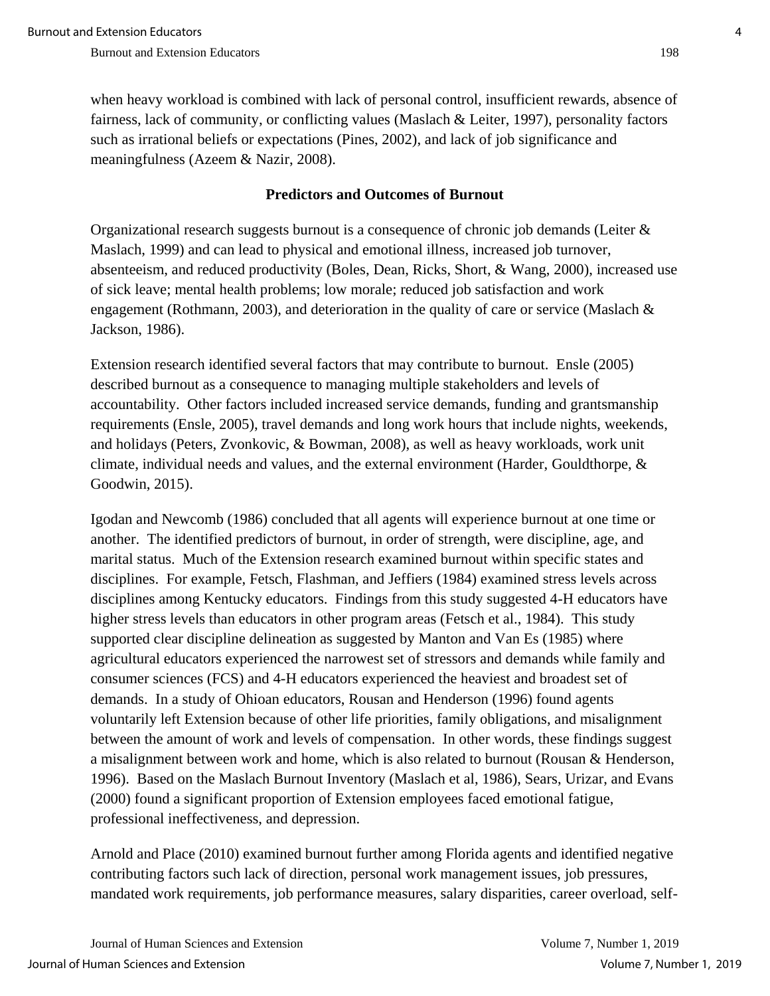when heavy workload is combined with lack of personal control, insufficient rewards, absence of fairness, lack of community, or conflicting values (Maslach & Leiter, 1997), personality factors such as irrational beliefs or expectations (Pines, 2002), and lack of job significance and meaningfulness (Azeem & Nazir, 2008).

#### **Predictors and Outcomes of Burnout**

Organizational research suggests burnout is a consequence of chronic job demands (Leiter & Maslach, 1999) and can lead to physical and emotional illness, increased job turnover, absenteeism, and reduced productivity (Boles, Dean, Ricks, Short, & Wang, 2000), increased use of sick leave; mental health problems; low morale; reduced job satisfaction and work engagement (Rothmann, 2003), and deterioration in the quality of care or service (Maslach  $\&$ Jackson, 1986).

Extension research identified several factors that may contribute to burnout. Ensle (2005) described burnout as a consequence to managing multiple stakeholders and levels of accountability. Other factors included increased service demands, funding and grantsmanship requirements (Ensle, 2005), travel demands and long work hours that include nights, weekends, and holidays (Peters, Zvonkovic, & Bowman, 2008), as well as heavy workloads, work unit climate, individual needs and values, and the external environment (Harder, Gouldthorpe, & Goodwin, 2015).

Igodan and Newcomb (1986) concluded that all agents will experience burnout at one time or another. The identified predictors of burnout, in order of strength, were discipline, age, and marital status. Much of the Extension research examined burnout within specific states and disciplines. For example, Fetsch, Flashman, and Jeffiers (1984) examined stress levels across disciplines among Kentucky educators. Findings from this study suggested 4-H educators have higher stress levels than educators in other program areas (Fetsch et al., 1984). This study supported clear discipline delineation as suggested by Manton and Van Es (1985) where agricultural educators experienced the narrowest set of stressors and demands while family and consumer sciences (FCS) and 4-H educators experienced the heaviest and broadest set of demands. In a study of Ohioan educators, Rousan and Henderson (1996) found agents voluntarily left Extension because of other life priorities, family obligations, and misalignment between the amount of work and levels of compensation. In other words, these findings suggest a misalignment between work and home, which is also related to burnout (Rousan & Henderson, 1996). Based on the Maslach Burnout Inventory (Maslach et al, 1986), Sears, Urizar, and Evans (2000) found a significant proportion of Extension employees faced emotional fatigue, professional ineffectiveness, and depression.

Arnold and Place (2010) examined burnout further among Florida agents and identified negative contributing factors such lack of direction, personal work management issues, job pressures, mandated work requirements, job performance measures, salary disparities, career overload, self-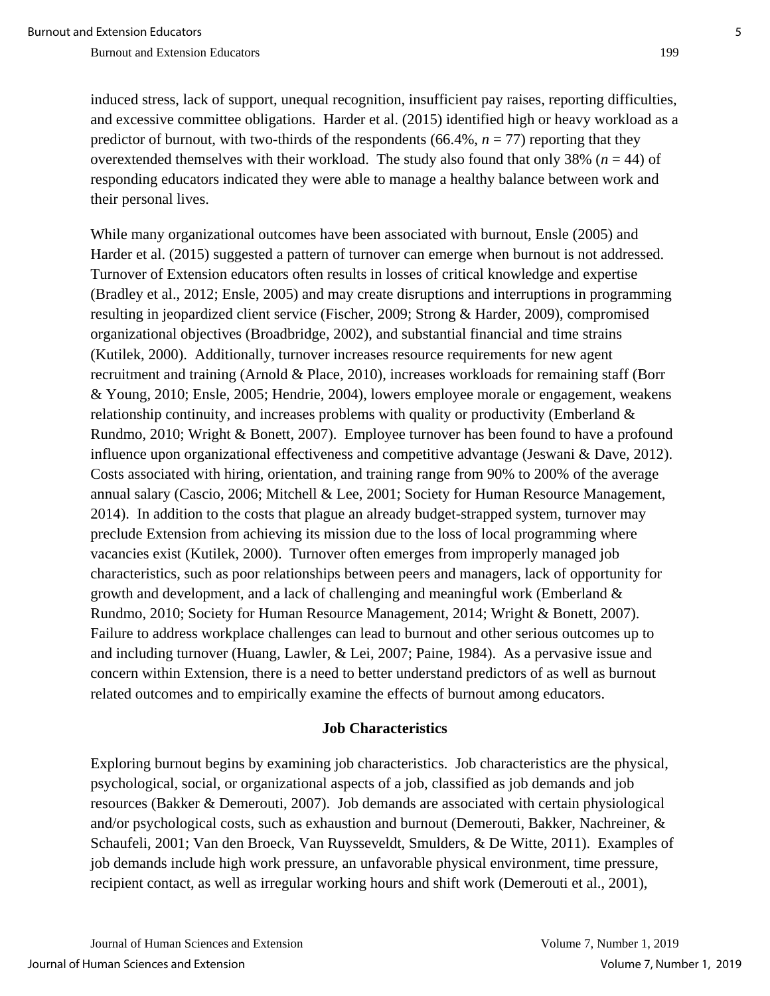induced stress, lack of support, unequal recognition, insufficient pay raises, reporting difficulties, and excessive committee obligations. Harder et al. (2015) identified high or heavy workload as a predictor of burnout, with two-thirds of the respondents (66.4%,  $n = 77$ ) reporting that they overextended themselves with their workload. The study also found that only 38% ( $n = 44$ ) of responding educators indicated they were able to manage a healthy balance between work and their personal lives.

While many organizational outcomes have been associated with burnout, Ensle (2005) and Harder et al. (2015) suggested a pattern of turnover can emerge when burnout is not addressed. Turnover of Extension educators often results in losses of critical knowledge and expertise (Bradley et al., 2012; Ensle, 2005) and may create disruptions and interruptions in programming resulting in jeopardized client service (Fischer, 2009; Strong & Harder, 2009), compromised organizational objectives (Broadbridge, 2002), and substantial financial and time strains (Kutilek, 2000). Additionally, turnover increases resource requirements for new agent recruitment and training (Arnold & Place, 2010), increases workloads for remaining staff (Borr & Young, 2010; Ensle, 2005; Hendrie, 2004), lowers employee morale or engagement, weakens relationship continuity, and increases problems with quality or productivity (Emberland & Rundmo, 2010; Wright & Bonett, 2007). Employee turnover has been found to have a profound influence upon organizational effectiveness and competitive advantage (Jeswani & Dave, 2012). Costs associated with hiring, orientation, and training range from 90% to 200% of the average annual salary (Cascio, 2006; Mitchell & Lee, 2001; Society for Human Resource Management, 2014). In addition to the costs that plague an already budget-strapped system, turnover may preclude Extension from achieving its mission due to the loss of local programming where vacancies exist (Kutilek, 2000). Turnover often emerges from improperly managed job characteristics, such as poor relationships between peers and managers, lack of opportunity for growth and development, and a lack of challenging and meaningful work (Emberland & Rundmo, 2010; Society for Human Resource Management, 2014; Wright & Bonett, 2007). Failure to address workplace challenges can lead to burnout and other serious outcomes up to and including turnover (Huang, Lawler, & Lei, 2007; Paine, 1984). As a pervasive issue and concern within Extension, there is a need to better understand predictors of as well as burnout related outcomes and to empirically examine the effects of burnout among educators.

#### **Job Characteristics**

Exploring burnout begins by examining job characteristics. Job characteristics are the physical, psychological, social, or organizational aspects of a job, classified as job demands and job resources (Bakker & Demerouti, 2007). Job demands are associated with certain physiological and/or psychological costs, such as exhaustion and burnout (Demerouti, Bakker, Nachreiner, & Schaufeli, 2001; Van den Broeck, Van Ruysseveldt, Smulders, & De Witte, 2011). Examples of job demands include high work pressure, an unfavorable physical environment, time pressure, recipient contact, as well as irregular working hours and shift work (Demerouti et al., 2001),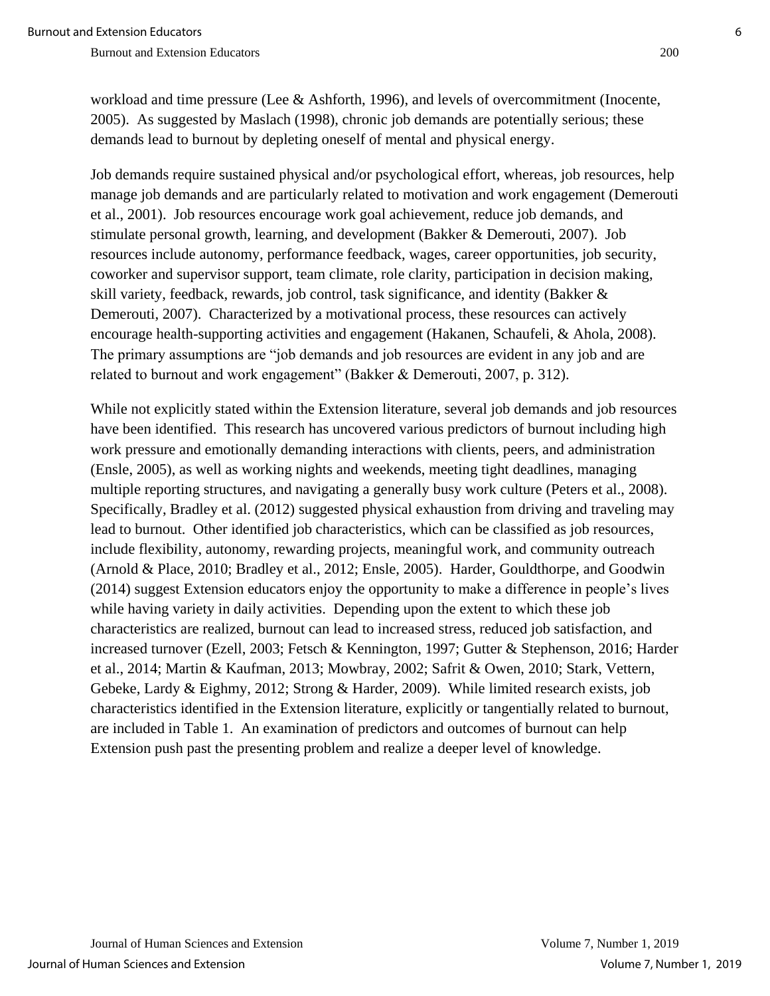workload and time pressure (Lee & Ashforth, 1996), and levels of overcommitment (Inocente, 2005). As suggested by Maslach (1998), chronic job demands are potentially serious; these demands lead to burnout by depleting oneself of mental and physical energy.

Job demands require sustained physical and/or psychological effort, whereas, job resources, help manage job demands and are particularly related to motivation and work engagement (Demerouti et al., 2001). Job resources encourage work goal achievement, reduce job demands, and stimulate personal growth, learning, and development (Bakker & Demerouti, 2007). Job resources include autonomy, performance feedback, wages, career opportunities, job security, coworker and supervisor support, team climate, role clarity, participation in decision making, skill variety, feedback, rewards, job control, task significance, and identity (Bakker & Demerouti, 2007). Characterized by a motivational process, these resources can actively encourage health-supporting activities and engagement (Hakanen, Schaufeli, & Ahola, 2008). The primary assumptions are "job demands and job resources are evident in any job and are related to burnout and work engagement" (Bakker & Demerouti, 2007, p. 312).

While not explicitly stated within the Extension literature, several job demands and job resources have been identified. This research has uncovered various predictors of burnout including high work pressure and emotionally demanding interactions with clients, peers, and administration (Ensle, 2005), as well as working nights and weekends, meeting tight deadlines, managing multiple reporting structures, and navigating a generally busy work culture (Peters et al., 2008). Specifically, Bradley et al. (2012) suggested physical exhaustion from driving and traveling may lead to burnout. Other identified job characteristics, which can be classified as job resources, include flexibility, autonomy, rewarding projects, meaningful work, and community outreach (Arnold & Place, 2010; Bradley et al., 2012; Ensle, 2005). Harder, Gouldthorpe, and Goodwin (2014) suggest Extension educators enjoy the opportunity to make a difference in people's lives while having variety in daily activities. Depending upon the extent to which these job characteristics are realized, burnout can lead to increased stress, reduced job satisfaction, and increased turnover (Ezell, 2003; Fetsch & Kennington, 1997; Gutter & Stephenson, 2016; Harder et al., 2014; Martin & Kaufman, 2013; Mowbray, 2002; Safrit & Owen, 2010; Stark, Vettern, Gebeke, Lardy & Eighmy, 2012; Strong & Harder, 2009). While limited research exists, job characteristics identified in the Extension literature, explicitly or tangentially related to burnout, are included in Table 1. An examination of predictors and outcomes of burnout can help Extension push past the presenting problem and realize a deeper level of knowledge.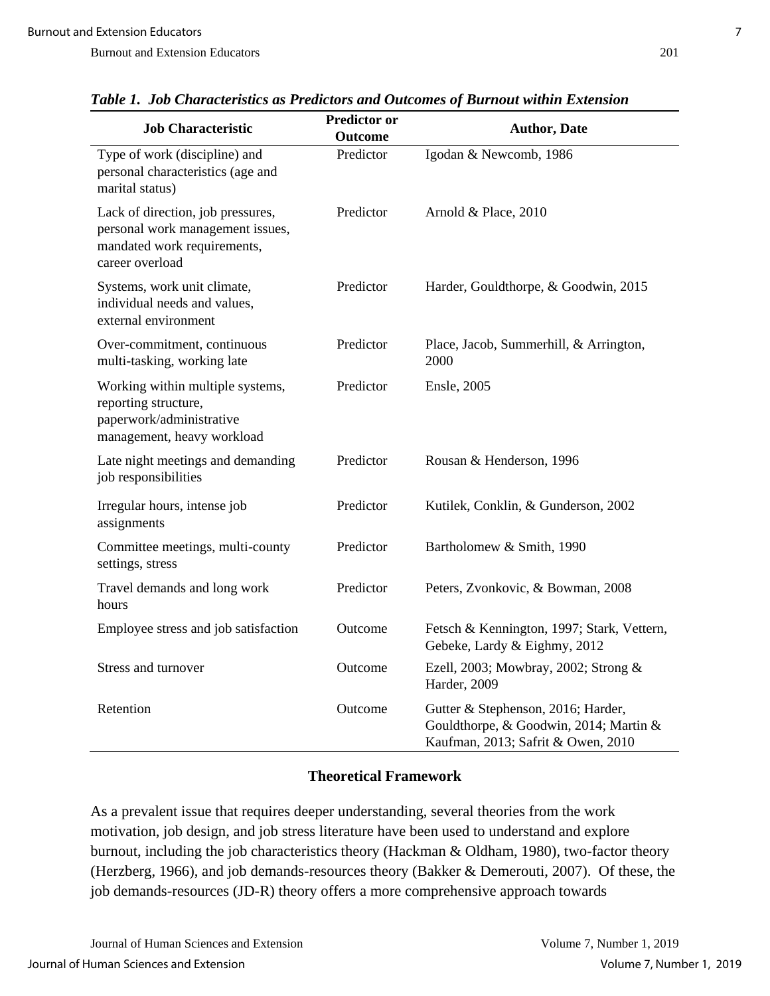| <b>Job Characteristic</b>                                                                                               | <b>Predictor or</b><br>Outcome | <b>Author, Date</b>                                                                                                |
|-------------------------------------------------------------------------------------------------------------------------|--------------------------------|--------------------------------------------------------------------------------------------------------------------|
| Type of work (discipline) and<br>personal characteristics (age and<br>marital status)                                   | Predictor                      | Igodan & Newcomb, 1986                                                                                             |
| Lack of direction, job pressures,<br>personal work management issues,<br>mandated work requirements,<br>career overload | Predictor                      | Arnold & Place, 2010                                                                                               |
| Systems, work unit climate,<br>individual needs and values,<br>external environment                                     | Predictor                      | Harder, Gouldthorpe, & Goodwin, 2015                                                                               |
| Over-commitment, continuous<br>multi-tasking, working late                                                              | Predictor                      | Place, Jacob, Summerhill, & Arrington,<br>2000                                                                     |
| Working within multiple systems,<br>reporting structure,<br>paperwork/administrative<br>management, heavy workload      | Predictor                      | Ensle, 2005                                                                                                        |
| Late night meetings and demanding<br>job responsibilities                                                               | Predictor                      | Rousan & Henderson, 1996                                                                                           |
| Irregular hours, intense job<br>assignments                                                                             | Predictor                      | Kutilek, Conklin, & Gunderson, 2002                                                                                |
| Committee meetings, multi-county<br>settings, stress                                                                    | Predictor                      | Bartholomew & Smith, 1990                                                                                          |
| Travel demands and long work<br>hours                                                                                   | Predictor                      | Peters, Zvonkovic, & Bowman, 2008                                                                                  |
| Employee stress and job satisfaction                                                                                    | Outcome                        | Fetsch & Kennington, 1997; Stark, Vettern,<br>Gebeke, Lardy & Eighmy, 2012                                         |
| Stress and turnover                                                                                                     | Outcome                        | Ezell, 2003; Mowbray, 2002; Strong &<br>Harder, 2009                                                               |
| Retention                                                                                                               | Outcome                        | Gutter & Stephenson, 2016; Harder,<br>Gouldthorpe, & Goodwin, 2014; Martin &<br>Kaufman, 2013; Safrit & Owen, 2010 |

*Table 1. Job Characteristics as Predictors and Outcomes of Burnout within Extension*

## **Theoretical Framework**

As a prevalent issue that requires deeper understanding, several theories from the work motivation, job design, and job stress literature have been used to understand and explore burnout, including the job characteristics theory (Hackman & Oldham, 1980), two-factor theory (Herzberg, 1966), and job demands-resources theory (Bakker & Demerouti, 2007). Of these, the job demands-resources (JD-R) theory offers a more comprehensive approach towards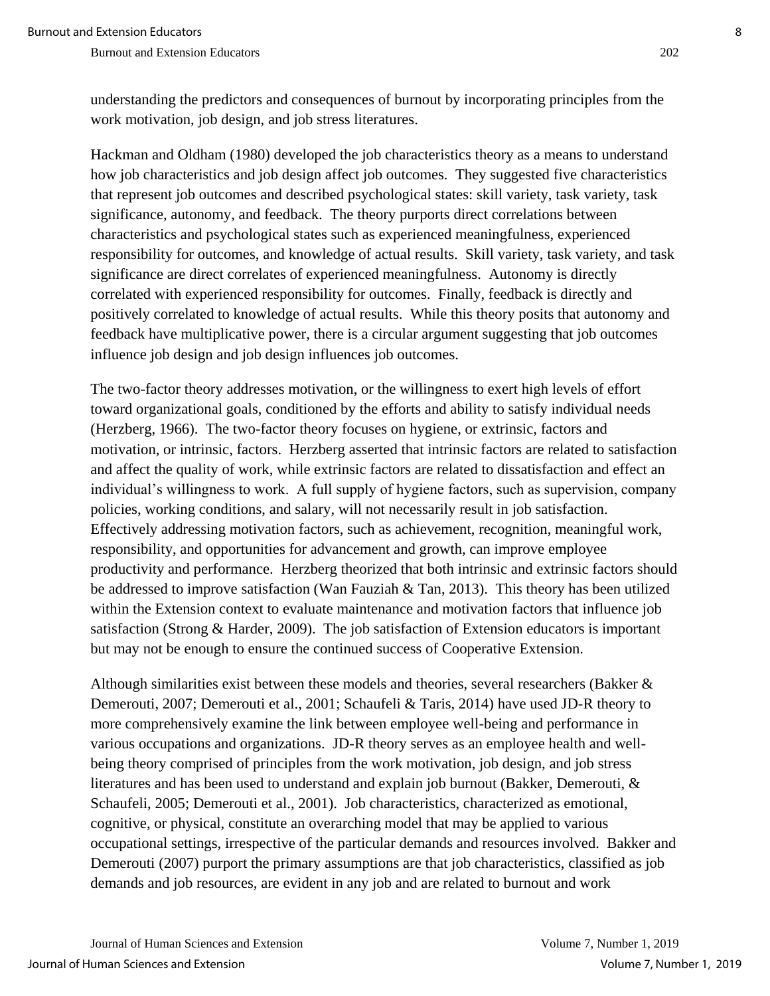understanding the predictors and consequences of burnout by incorporating principles from the work motivation, job design, and job stress literatures.

Hackman and Oldham (1980) developed the job characteristics theory as a means to understand how job characteristics and job design affect job outcomes. They suggested five characteristics that represent job outcomes and described psychological states: skill variety, task variety, task significance, autonomy, and feedback. The theory purports direct correlations between characteristics and psychological states such as experienced meaningfulness, experienced responsibility for outcomes, and knowledge of actual results. Skill variety, task variety, and task significance are direct correlates of experienced meaningfulness. Autonomy is directly correlated with experienced responsibility for outcomes. Finally, feedback is directly and positively correlated to knowledge of actual results. While this theory posits that autonomy and feedback have multiplicative power, there is a circular argument suggesting that job outcomes influence job design and job design influences job outcomes.

The two-factor theory addresses motivation, or the willingness to exert high levels of effort toward organizational goals, conditioned by the efforts and ability to satisfy individual needs (Herzberg, 1966). The two-factor theory focuses on hygiene, or extrinsic, factors and motivation, or intrinsic, factors. Herzberg asserted that intrinsic factors are related to satisfaction and affect the quality of work, while extrinsic factors are related to dissatisfaction and effect an individual's willingness to work. A full supply of hygiene factors, such as supervision, company policies, working conditions, and salary, will not necessarily result in job satisfaction. Effectively addressing motivation factors, such as achievement, recognition, meaningful work, responsibility, and opportunities for advancement and growth, can improve employee productivity and performance. Herzberg theorized that both intrinsic and extrinsic factors should be addressed to improve satisfaction (Wan Fauziah & Tan, 2013). This theory has been utilized within the Extension context to evaluate maintenance and motivation factors that influence job satisfaction (Strong & Harder, 2009). The job satisfaction of Extension educators is important but may not be enough to ensure the continued success of Cooperative Extension.

Although similarities exist between these models and theories, several researchers (Bakker & Demerouti, 2007; Demerouti et al., 2001; Schaufeli & Taris, 2014) have used JD-R theory to more comprehensively examine the link between employee well-being and performance in various occupations and organizations. JD-R theory serves as an employee health and wellbeing theory comprised of principles from the work motivation, job design, and job stress literatures and has been used to understand and explain job burnout (Bakker, Demerouti, & Schaufeli, 2005; Demerouti et al., 2001). Job characteristics, characterized as emotional, cognitive, or physical, constitute an overarching model that may be applied to various occupational settings, irrespective of the particular demands and resources involved. Bakker and Demerouti (2007) purport the primary assumptions are that job characteristics, classified as job demands and job resources, are evident in any job and are related to burnout and work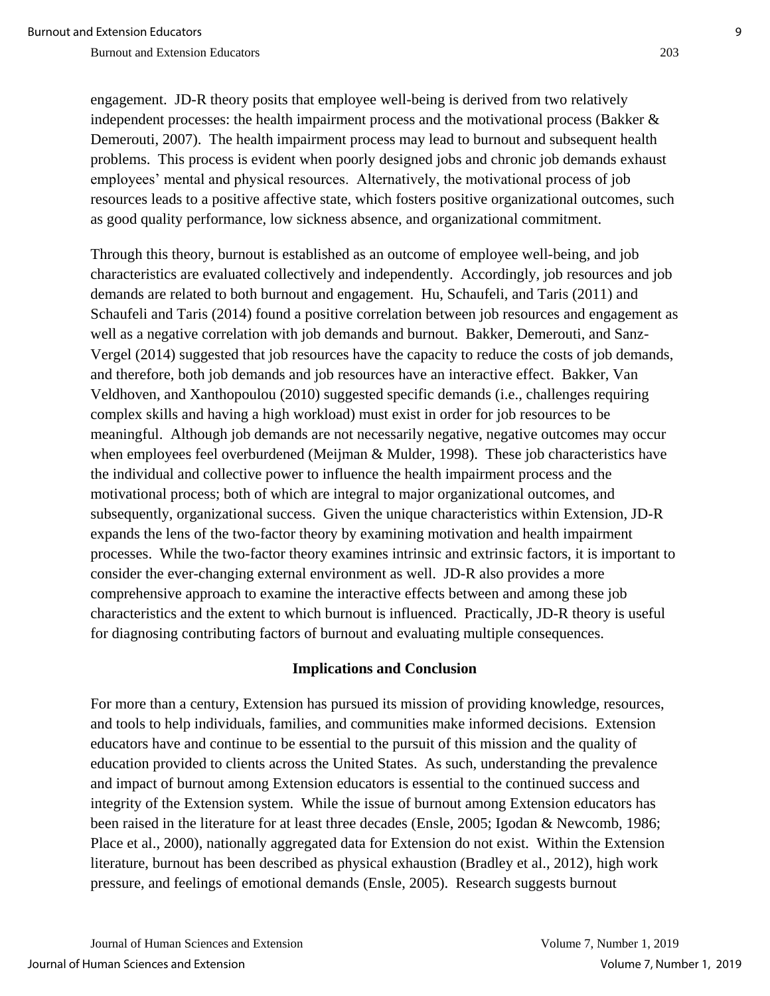engagement. JD-R theory posits that employee well-being is derived from two relatively independent processes: the health impairment process and the motivational process (Bakker  $\&$ Demerouti, 2007). The health impairment process may lead to burnout and subsequent health problems. This process is evident when poorly designed jobs and chronic job demands exhaust employees' mental and physical resources. Alternatively, the motivational process of job resources leads to a positive affective state, which fosters positive organizational outcomes, such as good quality performance, low sickness absence, and organizational commitment.

Through this theory, burnout is established as an outcome of employee well-being, and job characteristics are evaluated collectively and independently. Accordingly, job resources and job demands are related to both burnout and engagement. Hu, Schaufeli, and Taris (2011) and Schaufeli and Taris (2014) found a positive correlation between job resources and engagement as well as a negative correlation with job demands and burnout. Bakker, Demerouti, and Sanz-Vergel (2014) suggested that job resources have the capacity to reduce the costs of job demands, and therefore, both job demands and job resources have an interactive effect. Bakker, Van Veldhoven, and Xanthopoulou (2010) suggested specific demands (i.e., challenges requiring complex skills and having a high workload) must exist in order for job resources to be meaningful. Although job demands are not necessarily negative, negative outcomes may occur when employees feel overburdened (Meijman & Mulder, 1998). These job characteristics have the individual and collective power to influence the health impairment process and the motivational process; both of which are integral to major organizational outcomes, and subsequently, organizational success. Given the unique characteristics within Extension, JD-R expands the lens of the two-factor theory by examining motivation and health impairment processes. While the two-factor theory examines intrinsic and extrinsic factors, it is important to consider the ever-changing external environment as well. JD-R also provides a more comprehensive approach to examine the interactive effects between and among these job characteristics and the extent to which burnout is influenced. Practically, JD-R theory is useful for diagnosing contributing factors of burnout and evaluating multiple consequences.

#### **Implications and Conclusion**

For more than a century, Extension has pursued its mission of providing knowledge, resources, and tools to help individuals, families, and communities make informed decisions. Extension educators have and continue to be essential to the pursuit of this mission and the quality of education provided to clients across the United States. As such, understanding the prevalence and impact of burnout among Extension educators is essential to the continued success and integrity of the Extension system. While the issue of burnout among Extension educators has been raised in the literature for at least three decades (Ensle, 2005; Igodan & Newcomb, 1986; Place et al., 2000), nationally aggregated data for Extension do not exist. Within the Extension literature, burnout has been described as physical exhaustion (Bradley et al., 2012), high work pressure, and feelings of emotional demands (Ensle, 2005). Research suggests burnout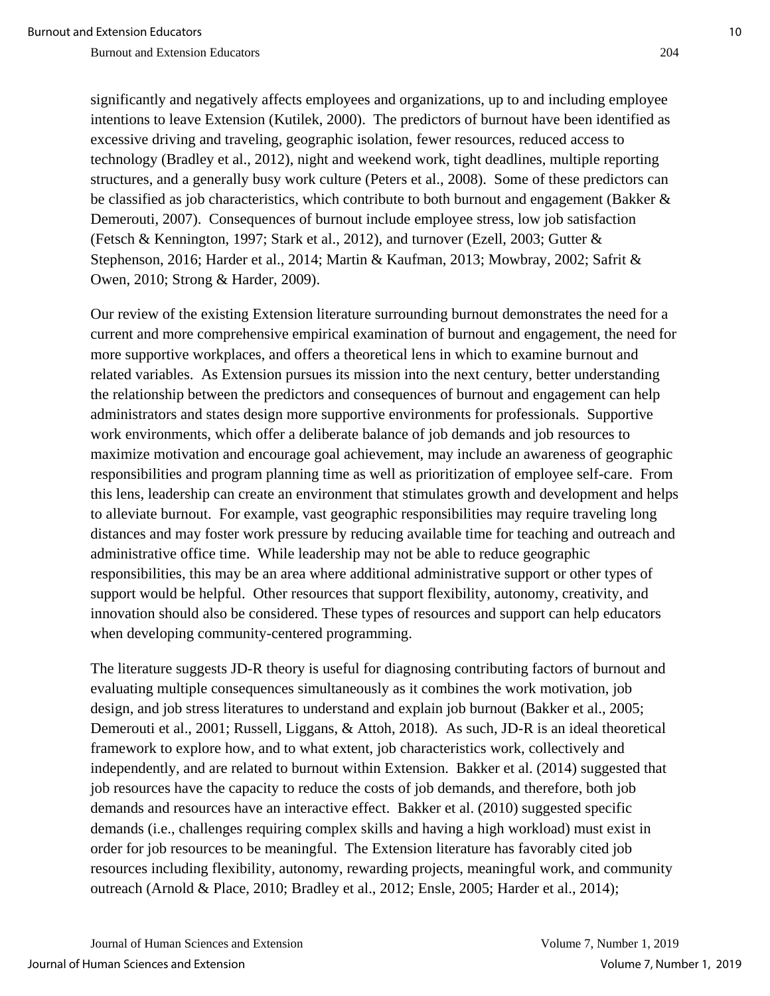significantly and negatively affects employees and organizations, up to and including employee intentions to leave Extension (Kutilek, 2000). The predictors of burnout have been identified as excessive driving and traveling, geographic isolation, fewer resources, reduced access to technology (Bradley et al., 2012), night and weekend work, tight deadlines, multiple reporting structures, and a generally busy work culture (Peters et al., 2008). Some of these predictors can be classified as job characteristics, which contribute to both burnout and engagement (Bakker & Demerouti, 2007). Consequences of burnout include employee stress, low job satisfaction (Fetsch & Kennington, 1997; Stark et al., 2012), and turnover (Ezell, 2003; Gutter & Stephenson, 2016; Harder et al., 2014; Martin & Kaufman, 2013; Mowbray, 2002; Safrit & Owen, 2010; Strong & Harder, 2009).

Our review of the existing Extension literature surrounding burnout demonstrates the need for a current and more comprehensive empirical examination of burnout and engagement, the need for more supportive workplaces, and offers a theoretical lens in which to examine burnout and related variables. As Extension pursues its mission into the next century, better understanding the relationship between the predictors and consequences of burnout and engagement can help administrators and states design more supportive environments for professionals. Supportive work environments, which offer a deliberate balance of job demands and job resources to maximize motivation and encourage goal achievement, may include an awareness of geographic responsibilities and program planning time as well as prioritization of employee self-care. From this lens, leadership can create an environment that stimulates growth and development and helps to alleviate burnout. For example, vast geographic responsibilities may require traveling long distances and may foster work pressure by reducing available time for teaching and outreach and administrative office time. While leadership may not be able to reduce geographic responsibilities, this may be an area where additional administrative support or other types of support would be helpful. Other resources that support flexibility, autonomy, creativity, and innovation should also be considered. These types of resources and support can help educators when developing community-centered programming.

The literature suggests JD-R theory is useful for diagnosing contributing factors of burnout and evaluating multiple consequences simultaneously as it combines the work motivation, job design, and job stress literatures to understand and explain job burnout (Bakker et al., 2005; Demerouti et al., 2001; Russell, Liggans, & Attoh, 2018). As such, JD-R is an ideal theoretical framework to explore how, and to what extent, job characteristics work, collectively and independently, and are related to burnout within Extension. Bakker et al. (2014) suggested that job resources have the capacity to reduce the costs of job demands, and therefore, both job demands and resources have an interactive effect. Bakker et al. (2010) suggested specific demands (i.e., challenges requiring complex skills and having a high workload) must exist in order for job resources to be meaningful. The Extension literature has favorably cited job resources including flexibility, autonomy, rewarding projects, meaningful work, and community outreach (Arnold & Place, 2010; Bradley et al., 2012; Ensle, 2005; Harder et al., 2014);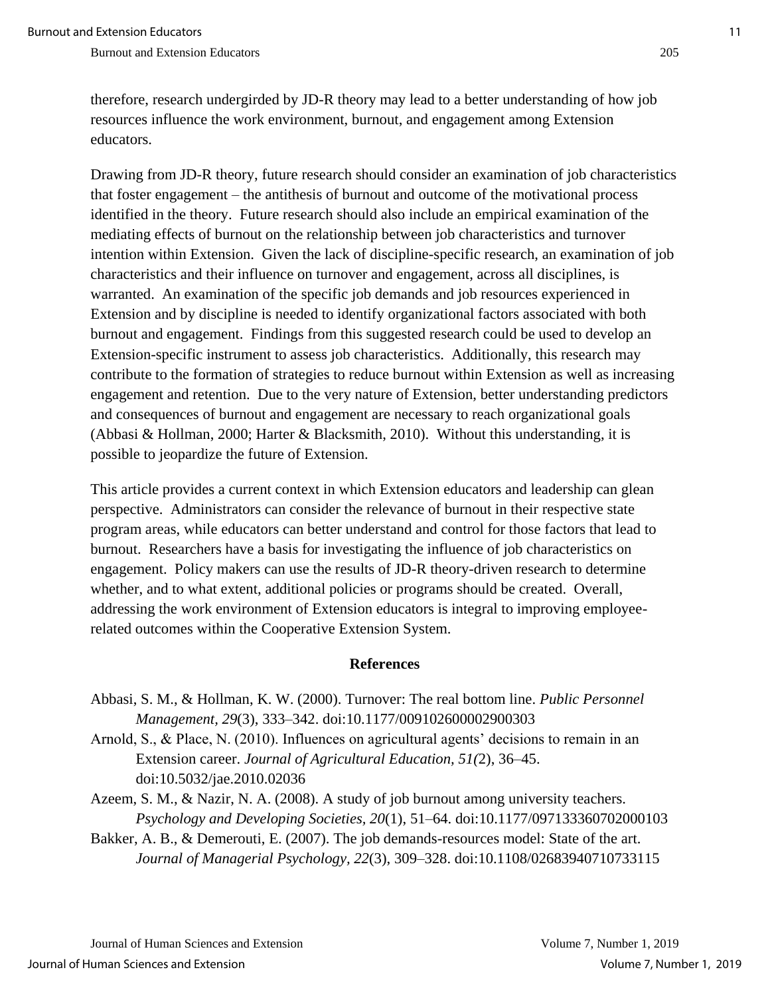therefore, research undergirded by JD-R theory may lead to a better understanding of how job resources influence the work environment, burnout, and engagement among Extension educators.

Drawing from JD-R theory, future research should consider an examination of job characteristics that foster engagement – the antithesis of burnout and outcome of the motivational process identified in the theory. Future research should also include an empirical examination of the mediating effects of burnout on the relationship between job characteristics and turnover intention within Extension. Given the lack of discipline-specific research, an examination of job characteristics and their influence on turnover and engagement, across all disciplines, is warranted. An examination of the specific job demands and job resources experienced in Extension and by discipline is needed to identify organizational factors associated with both burnout and engagement. Findings from this suggested research could be used to develop an Extension-specific instrument to assess job characteristics. Additionally, this research may contribute to the formation of strategies to reduce burnout within Extension as well as increasing engagement and retention. Due to the very nature of Extension, better understanding predictors and consequences of burnout and engagement are necessary to reach organizational goals (Abbasi & Hollman, 2000; Harter & Blacksmith, 2010). Without this understanding, it is possible to jeopardize the future of Extension.

This article provides a current context in which Extension educators and leadership can glean perspective. Administrators can consider the relevance of burnout in their respective state program areas, while educators can better understand and control for those factors that lead to burnout. Researchers have a basis for investigating the influence of job characteristics on engagement. Policy makers can use the results of JD-R theory-driven research to determine whether, and to what extent, additional policies or programs should be created. Overall, addressing the work environment of Extension educators is integral to improving employeerelated outcomes within the Cooperative Extension System.

#### **References**

- Abbasi, S. M., & Hollman, K. W. (2000). Turnover: The real bottom line. *Public Personnel Management, 29*(3), 333–342. doi:10.1177/009102600002900303
- Arnold, S., & Place, N. (2010). Influences on agricultural agents' decisions to remain in an Extension career. *Journal of Agricultural Education, 51(*2), 36–45. doi:10.5032/jae.2010.02036
- Azeem, S. M., & Nazir, N. A. (2008). A study of job burnout among university teachers. *Psychology and Developing Societies, 20*(1), 51–64. doi:10.1177/097133360702000103
- Bakker, A. B., & Demerouti, E. (2007). The job demands-resources model: State of the art. *Journal of Managerial Psychology, 22*(3), 309–328. doi:10.1108/02683940710733115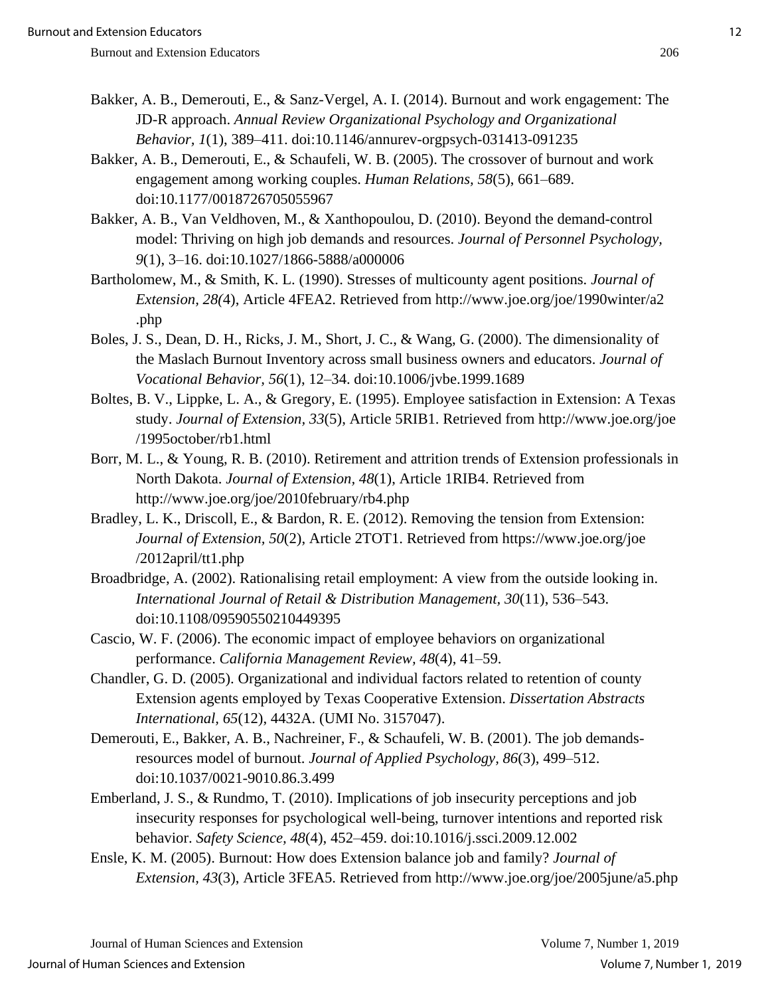- Bakker, A. B., Demerouti, E., & Sanz-Vergel, A. I. (2014). Burnout and work engagement: The JD-R approach. *Annual Review Organizational Psychology and Organizational Behavior, 1*(1), 389–411. doi:10.1146/annurev-orgpsych-031413-091235
- Bakker, A. B., Demerouti, E., & Schaufeli, W. B. (2005). The crossover of burnout and work engagement among working couples. *Human Relations, 58*(5), 661–689. doi:10.1177/0018726705055967
- Bakker, A. B., Van Veldhoven, M., & Xanthopoulou, D. (2010). Beyond the demand-control model: Thriving on high job demands and resources. *Journal of Personnel Psychology, 9*(1), 3–16. doi:10.1027/1866-5888/a000006
- Bartholomew, M., & Smith, K. L. (1990). Stresses of multicounty agent positions. *Journal of Extension, 28(*4), Article 4FEA2. Retrieved from http://www.joe.org/joe/1990winter/a2 .php
- Boles, J. S., Dean, D. H., Ricks, J. M., Short, J. C., & Wang, G. (2000). The dimensionality of the Maslach Burnout Inventory across small business owners and educators. *Journal of Vocational Behavior, 56*(1), 12–34. doi:10.1006/jvbe.1999.1689
- Boltes, B. V., Lippke, L. A., & Gregory, E. (1995). Employee satisfaction in Extension: A Texas study. *Journal of Extension, 33*(5), Article 5RIB1. Retrieved from http://www.joe.org/joe /1995october/rb1.html
- Borr, M. L., & Young, R. B. (2010). Retirement and attrition trends of Extension professionals in North Dakota. *Journal of Extension, 48*(1), Article 1RIB4. Retrieved from http://www.joe.org/joe/2010february/rb4.php
- Bradley, L. K., Driscoll, E., & Bardon, R. E. (2012). Removing the tension from Extension: *Journal of Extension, 50*(2), Article 2TOT1. Retrieved from https://www.joe.org/joe /2012april/tt1.php
- Broadbridge, A. (2002). Rationalising retail employment: A view from the outside looking in. *International Journal of Retail & Distribution Management, 30*(11), 536–543. doi:10.1108/09590550210449395
- Cascio, W. F. (2006). The economic impact of employee behaviors on organizational performance. *California Management Review, 48*(4), 41–59.
- Chandler, G. D. (2005). Organizational and individual factors related to retention of county Extension agents employed by Texas Cooperative Extension. *Dissertation Abstracts International, 65*(12), 4432A. (UMI No. 3157047).
- Demerouti, E., Bakker, A. B., Nachreiner, F., & Schaufeli, W. B. (2001). The job demandsresources model of burnout. *Journal of Applied Psychology, 86*(3), 499–512. doi:10.1037/0021-9010.86.3.499
- Emberland, J. S., & Rundmo, T. (2010). Implications of job insecurity perceptions and job insecurity responses for psychological well-being, turnover intentions and reported risk behavior. *Safety Science, 48*(4), 452–459. doi:10.1016/j.ssci.2009.12.002
- Ensle, K. M. (2005). Burnout: How does Extension balance job and family? *Journal of Extension, 43*(3), Article 3FEA5. Retrieved from http://www.joe.org/joe/2005june/a5.php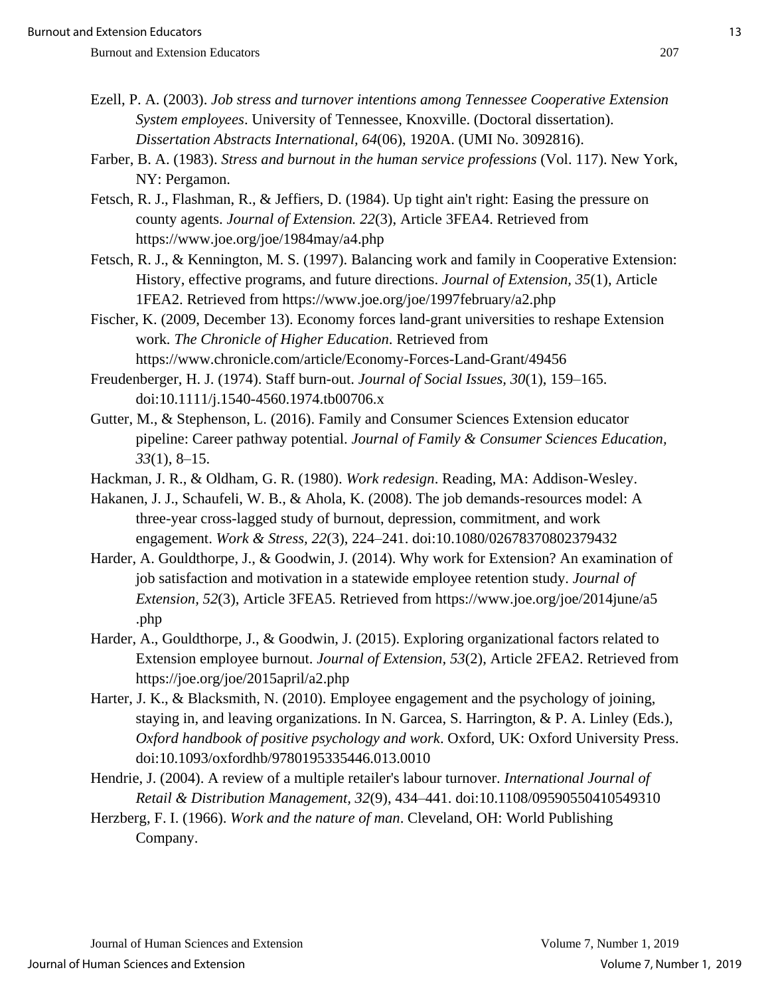- Ezell, P. A. (2003). *Job stress and turnover intentions among Tennessee Cooperative Extension System employees*. University of Tennessee, Knoxville. (Doctoral dissertation). *Dissertation Abstracts International, 64*(06), 1920A. (UMI No. 3092816).
- Farber, B. A. (1983). *Stress and burnout in the human service professions* (Vol. 117). New York, NY: Pergamon.
- Fetsch, R. J., Flashman, R., & Jeffiers, D. (1984). Up tight ain't right: Easing the pressure on county agents. *Journal of Extension. 22*(3), Article 3FEA4. Retrieved from https://www.joe.org/joe/1984may/a4.php
- Fetsch, R. J., & Kennington, M. S. (1997). Balancing work and family in Cooperative Extension: History, effective programs, and future directions. *Journal of Extension, 35*(1), Article 1FEA2. Retrieved from https://www.joe.org/joe/1997february/a2.php
- Fischer, K. (2009, December 13). Economy forces land-grant universities to reshape Extension work*. The Chronicle of Higher Education*. Retrieved from https://www.chronicle.com/article/Economy-Forces-Land-Grant/49456
- Freudenberger, H. J. (1974). Staff burn-out. *Journal of Social Issues, 30*(1), 159–165. doi:10.1111/j.1540-4560.1974.tb00706.x
- Gutter, M., & Stephenson, L. (2016). Family and Consumer Sciences Extension educator pipeline: Career pathway potential. *Journal of Family & Consumer Sciences Education, 33*(1), 8–15.
- Hackman, J. R., & Oldham, G. R. (1980). *Work redesign*. Reading, MA: Addison-Wesley.
- Hakanen, J. J., Schaufeli, W. B., & Ahola, K. (2008). The job demands-resources model: A three-year cross-lagged study of burnout, depression, commitment, and work engagement. *Work & Stress, 22*(3), 224–241. doi:10.1080/02678370802379432
- Harder, A. Gouldthorpe, J., & Goodwin, J. (2014). Why work for Extension? An examination of job satisfaction and motivation in a statewide employee retention study. *Journal of Extension, 52*(3), Article 3FEA5. Retrieved from https://www.joe.org/joe/2014june/a5 .php
- Harder, A., Gouldthorpe, J., & Goodwin, J. (2015). Exploring organizational factors related to Extension employee burnout. *Journal of Extension, 53*(2), Article 2FEA2. Retrieved from https://joe.org/joe/2015april/a2.php
- Harter, J. K., & Blacksmith, N. (2010). Employee engagement and the psychology of joining, staying in, and leaving organizations. In N. Garcea, S. Harrington, & P. A. Linley (Eds.), *Oxford handbook of positive psychology and work*. Oxford, UK: Oxford University Press. doi:10.1093/oxfordhb/9780195335446.013.0010
- Hendrie, J. (2004). A review of a multiple retailer's labour turnover. *International Journal of Retail & Distribution Management, 32*(9), 434–441. doi:10.1108/09590550410549310
- Herzberg, F. I. (1966). *Work and the nature of man*. Cleveland, OH: World Publishing Company.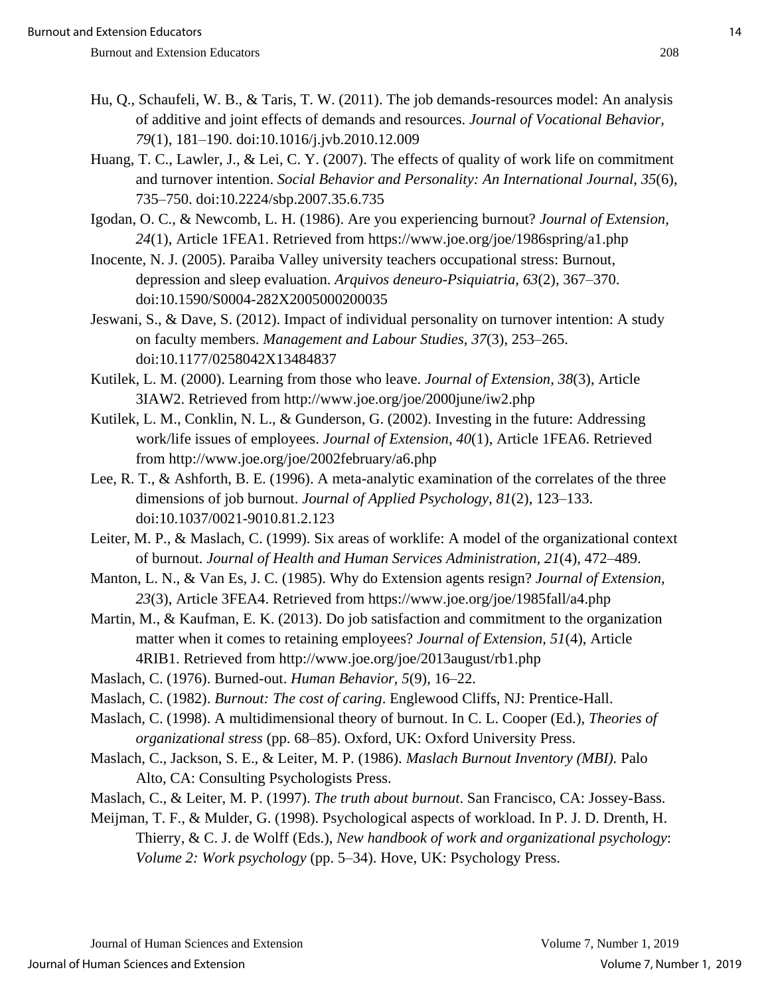- Hu, Q., Schaufeli, W. B., & Taris, T. W. (2011). The job demands-resources model: An analysis of additive and joint effects of demands and resources. *Journal of Vocational Behavior, 79*(1), 181–190. doi:10.1016/j.jvb.2010.12.009
- Huang, T. C., Lawler, J., & Lei, C. Y. (2007). The effects of quality of work life on commitment and turnover intention. *Social Behavior and Personality: An International Journal, 35*(6), 735–750. doi:10.2224/sbp.2007.35.6.735
- Igodan, O. C., & Newcomb, L. H. (1986). Are you experiencing burnout? *Journal of Extension, 24*(1), Article 1FEA1. Retrieved from https://www.joe.org/joe/1986spring/a1.php
- Inocente, N. J. (2005). Paraiba Valley university teachers occupational stress: Burnout, depression and sleep evaluation. *Arquivos deneuro-Psiquiatria, 63*(2), 367–370. doi:10.1590/S0004-282X2005000200035
- Jeswani, S., & Dave, S. (2012). Impact of individual personality on turnover intention: A study on faculty members. *Management and Labour Studies, 37*(3), 253–265. doi:10.1177/0258042X13484837
- Kutilek, L. M. (2000). Learning from those who leave. *Journal of Extension, 38*(3), Article 3IAW2. Retrieved from http://www.joe.org/joe/2000june/iw2.php
- Kutilek, L. M., Conklin, N. L., & Gunderson, G. (2002). Investing in the future: Addressing work/life issues of employees. *Journal of Extension, 40*(1), Article 1FEA6. Retrieved from http://www.joe.org/joe/2002february/a6.php
- Lee, R. T., & Ashforth, B. E. (1996). A meta-analytic examination of the correlates of the three dimensions of job burnout. *Journal of Applied Psychology, 81*(2), 123–133. doi:10.1037/0021-9010.81.2.123
- Leiter, M. P., & Maslach, C. (1999). Six areas of worklife: A model of the organizational context of burnout. *Journal of Health and Human Services Administration, 21*(4), 472–489.
- Manton, L. N., & Van Es, J. C. (1985). Why do Extension agents resign? *Journal of Extension, 23*(3), Article 3FEA4. Retrieved from https://www.joe.org/joe/1985fall/a4.php
- Martin, M., & Kaufman, E. K. (2013). Do job satisfaction and commitment to the organization matter when it comes to retaining employees? *Journal of Extension, 51*(4), Article 4RIB1. Retrieved from http://www.joe.org/joe/2013august/rb1.php
- Maslach, C. (1976). Burned-out. *Human Behavior, 5*(9), 16–22.
- Maslach, C. (1982). *Burnout: The cost of caring*. Englewood Cliffs, NJ: Prentice-Hall.
- Maslach, C. (1998). A multidimensional theory of burnout. In C. L. Cooper (Ed.), *Theories of organizational stress* (pp. 68–85). Oxford, UK: Oxford University Press.
- Maslach, C., Jackson, S. E., & Leiter, M. P. (1986). *Maslach Burnout Inventory (MBI).* Palo Alto, CA: Consulting Psychologists Press.
- Maslach, C., & Leiter, M. P. (1997). *The truth about burnout*. San Francisco, CA: Jossey-Bass.
- Meijman, T. F., & Mulder, G. (1998). Psychological aspects of workload. In P. J. D. Drenth, H. Thierry, & C. J. de Wolff (Eds.), *New handbook of work and organizational psychology*: *Volume 2: Work psychology* (pp. 5–34). Hove, UK: Psychology Press.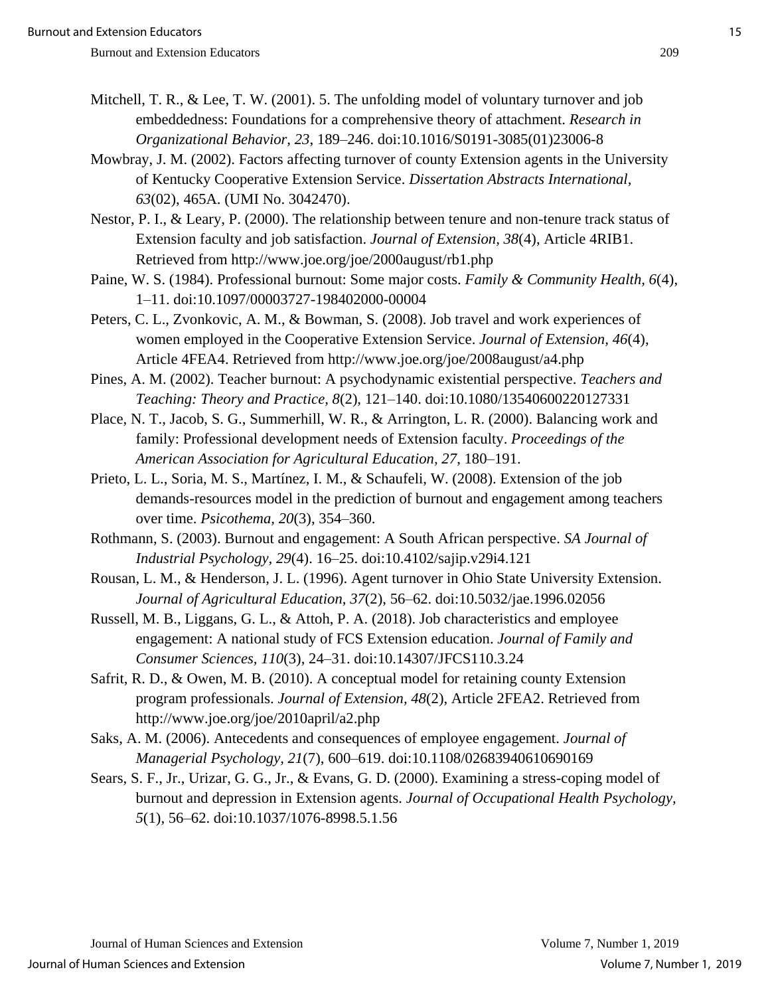- Mitchell, T. R., & Lee, T. W. (2001). 5. The unfolding model of voluntary turnover and job embeddedness: Foundations for a comprehensive theory of attachment. *Research in Organizational Behavior, 23*, 189–246. doi:10.1016/S0191-3085(01)23006-8
- Mowbray, J. M. (2002). Factors affecting turnover of county Extension agents in the University of Kentucky Cooperative Extension Service. *Dissertation Abstracts International, 63*(02), 465A. (UMI No. 3042470).

Nestor, P. I., & Leary, P. (2000). The relationship between tenure and non-tenure track status of Extension faculty and job satisfaction. *Journal of Extension, 38*(4), Article 4RIB1. Retrieved from http://www.joe.org/joe/2000august/rb1.php

Paine, W. S. (1984). Professional burnout: Some major costs. *Family & Community Health, 6*(4), 1–11. doi:10.1097/00003727-198402000-00004

Peters, C. L., Zvonkovic, A. M., & Bowman, S. (2008). Job travel and work experiences of women employed in the Cooperative Extension Service. *Journal of Extension, 46*(4), Article 4FEA4. Retrieved from http://www.joe.org/joe/2008august/a4.php

Pines, A. M. (2002). Teacher burnout: A psychodynamic existential perspective. *Teachers and Teaching: Theory and Practice, 8*(2), 121–140. doi:10.1080/13540600220127331

- Place, N. T., Jacob, S. G., Summerhill, W. R., & Arrington, L. R. (2000). Balancing work and family: Professional development needs of Extension faculty. *Proceedings of the American Association for Agricultural Education, 27*, 180–191.
- Prieto, L. L., Soria, M. S., Martínez, I. M., & Schaufeli, W. (2008). Extension of the job demands-resources model in the prediction of burnout and engagement among teachers over time. *Psicothema, 20*(3), 354–360.
- Rothmann, S. (2003). Burnout and engagement: A South African perspective. *SA Journal of Industrial Psychology, 29*(4). 16–25. doi:10.4102/sajip.v29i4.121
- Rousan, L. M., & Henderson, J. L. (1996). Agent turnover in Ohio State University Extension. *Journal of Agricultural Education, 37*(2), 56–62. doi:10.5032/jae.1996.02056
- Russell, M. B., Liggans, G. L., & Attoh, P. A. (2018). Job characteristics and employee engagement: A national study of FCS Extension education. *Journal of Family and Consumer Sciences, 110*(3), 24–31. doi:10.14307/JFCS110.3.24
- Safrit, R. D., & Owen, M. B. (2010). A conceptual model for retaining county Extension program professionals. *Journal of Extension, 48*(2), Article 2FEA2. Retrieved from http://www.joe.org/joe/2010april/a2.php
- Saks, A. M. (2006). Antecedents and consequences of employee engagement. *Journal of Managerial Psychology, 21*(7), 600–619. doi:10.1108/02683940610690169
- Sears, S. F., Jr., Urizar, G. G., Jr., & Evans, G. D. (2000). Examining a stress-coping model of burnout and depression in Extension agents. *Journal of Occupational Health Psychology, 5*(1), 56–62. doi:10.1037/1076-8998.5.1.56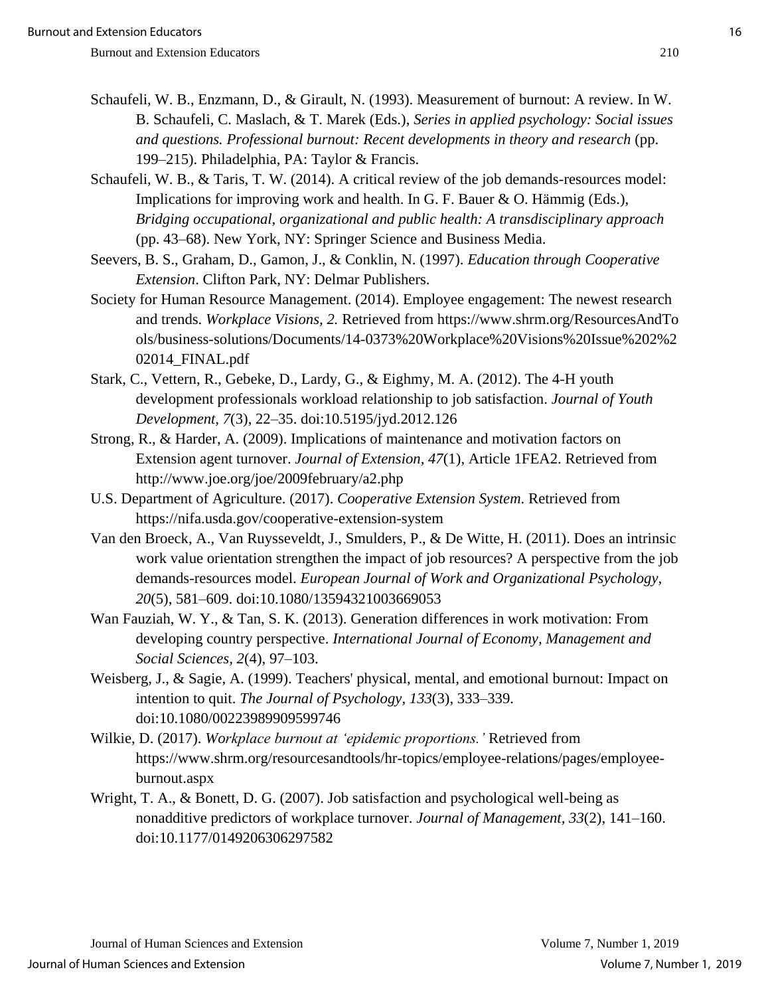- Schaufeli, W. B., Enzmann, D., & Girault, N. (1993). Measurement of burnout: A review. In W. B. Schaufeli, C. Maslach, & T. Marek (Eds.), *Series in applied psychology: Social issues and questions. Professional burnout: Recent developments in theory and research* (pp. 199–215). Philadelphia, PA: Taylor & Francis.
- Schaufeli, W. B., & Taris, T. W. (2014). A critical review of the job demands-resources model: Implications for improving work and health. In G. F. Bauer & O. Hämmig (Eds.), *Bridging occupational, organizational and public health: A transdisciplinary approach* (pp. 43–68). New York, NY: Springer Science and Business Media.
- Seevers, B. S., Graham, D., Gamon, J., & Conklin, N. (1997). *Education through Cooperative Extension*. Clifton Park, NY: Delmar Publishers.
- Society for Human Resource Management. (2014). Employee engagement: The newest research and trends. *Workplace Visions, 2.* Retrieved from https://www.shrm.org/ResourcesAndTo ols/business-solutions/Documents/14-0373%20Workplace%20Visions%20Issue%202%2 02014\_FINAL.pdf
- Stark, C., Vettern, R., Gebeke, D., Lardy, G., & Eighmy, M. A. (2012). The 4-H youth development professionals workload relationship to job satisfaction. *Journal of Youth Development, 7*(3), 22–35. doi:10.5195/jyd.2012.126
- Strong, R., & Harder, A. (2009). Implications of maintenance and motivation factors on Extension agent turnover. *Journal of Extension, 47*(1), Article 1FEA2. Retrieved from http://www.joe.org/joe/2009february/a2.php
- U.S. Department of Agriculture. (2017). *Cooperative Extension System*. Retrieved from https://nifa.usda.gov/cooperative-extension-system
- Van den Broeck, A., Van Ruysseveldt, J., Smulders, P., & De Witte, H. (2011). Does an intrinsic work value orientation strengthen the impact of job resources? A perspective from the job demands-resources model. *European Journal of Work and Organizational Psychology, 20*(5), 581–609. doi:10.1080/13594321003669053
- Wan Fauziah, W. Y., & Tan, S. K. (2013). Generation differences in work motivation: From developing country perspective. *International Journal of Economy, Management and Social Sciences, 2*(4), 97–103.
- Weisberg, J., & Sagie, A. (1999). Teachers' physical, mental, and emotional burnout: Impact on intention to quit. *The Journal of Psychology, 133*(3), 333–339. doi:10.1080/00223989909599746
- Wilkie, D. (2017). *Workplace burnout at 'epidemic proportions.'* Retrieved from https://www.shrm.org/resourcesandtools/hr-topics/employee-relations/pages/employeeburnout.aspx
- Wright, T. A., & Bonett, D. G. (2007). Job satisfaction and psychological well-being as nonadditive predictors of workplace turnover. *Journal of Management, 33*(2), 141–160. doi:10.1177/0149206306297582